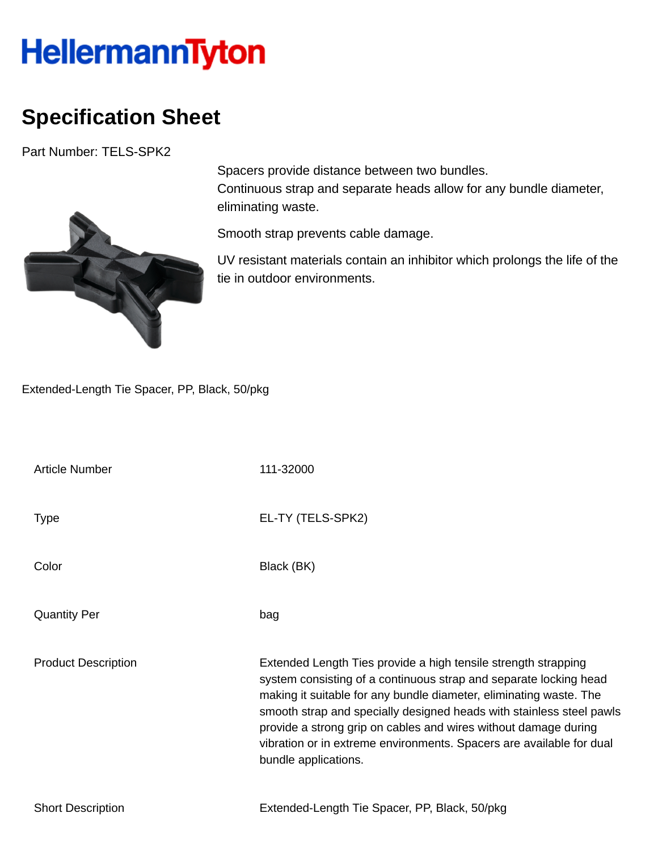## **HellermannTyton**

## **Specification Sheet**

Part Number: TELS-SPK2



Spacers provide distance between two bundles. Continuous strap and separate heads allow for any bundle diameter, eliminating waste.

Smooth strap prevents cable damage.

UV resistant materials contain an inhibitor which prolongs the life of the tie in outdoor environments.

Extended-Length Tie Spacer, PP, Black, 50/pkg

| <b>Article Number</b>      | 111-32000                                                                                                                                                                                                                                                                                                                                                                                                                                            |
|----------------------------|------------------------------------------------------------------------------------------------------------------------------------------------------------------------------------------------------------------------------------------------------------------------------------------------------------------------------------------------------------------------------------------------------------------------------------------------------|
| <b>Type</b>                | EL-TY (TELS-SPK2)                                                                                                                                                                                                                                                                                                                                                                                                                                    |
| Color                      | Black (BK)                                                                                                                                                                                                                                                                                                                                                                                                                                           |
| <b>Quantity Per</b>        | bag                                                                                                                                                                                                                                                                                                                                                                                                                                                  |
| <b>Product Description</b> | Extended Length Ties provide a high tensile strength strapping<br>system consisting of a continuous strap and separate locking head<br>making it suitable for any bundle diameter, eliminating waste. The<br>smooth strap and specially designed heads with stainless steel pawls<br>provide a strong grip on cables and wires without damage during<br>vibration or in extreme environments. Spacers are available for dual<br>bundle applications. |
| <b>Short Description</b>   | Extended-Length Tie Spacer, PP, Black, 50/pkg                                                                                                                                                                                                                                                                                                                                                                                                        |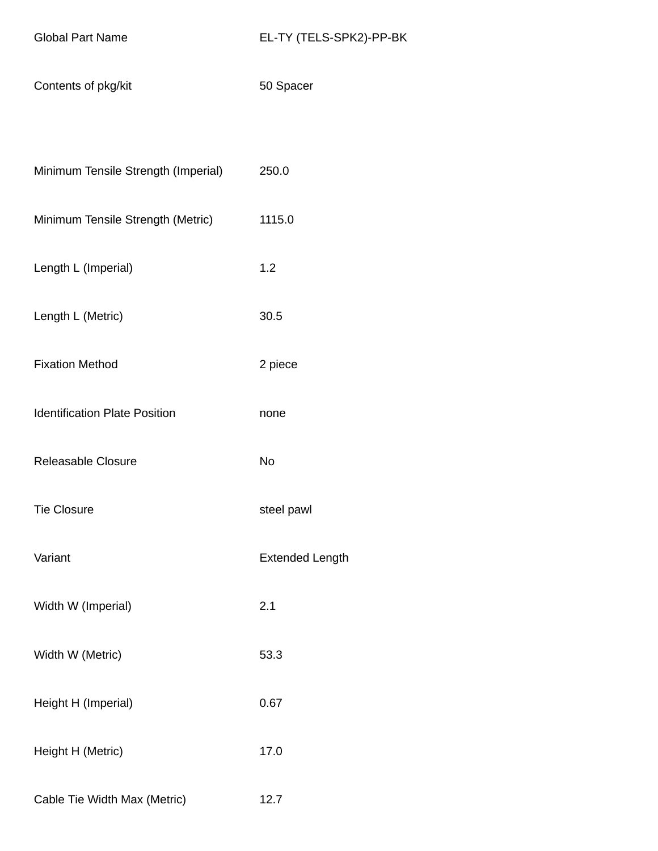Contents of pkg/kit 50 Spacer

|  |  | Minimum Tensile Strength (Imperial) | 250.0 |
|--|--|-------------------------------------|-------|
|--|--|-------------------------------------|-------|

- Minimum Tensile Strength (Metric) 1115.0
- Length L (Imperial) 1.2
- Length L (Metric) 30.5
- Fixation Method 2 piece
- Identification Plate Position **none**
- Releasable Closure No
- Tie Closure steel pawl
- Variant **Extended Length**
- Width W (Imperial) 2.1
- Width W (Metric) 53.3
- Height H (Imperial) 0.67
- Height H (Metric) 17.0
- Cable Tie Width Max (Metric) 12.7